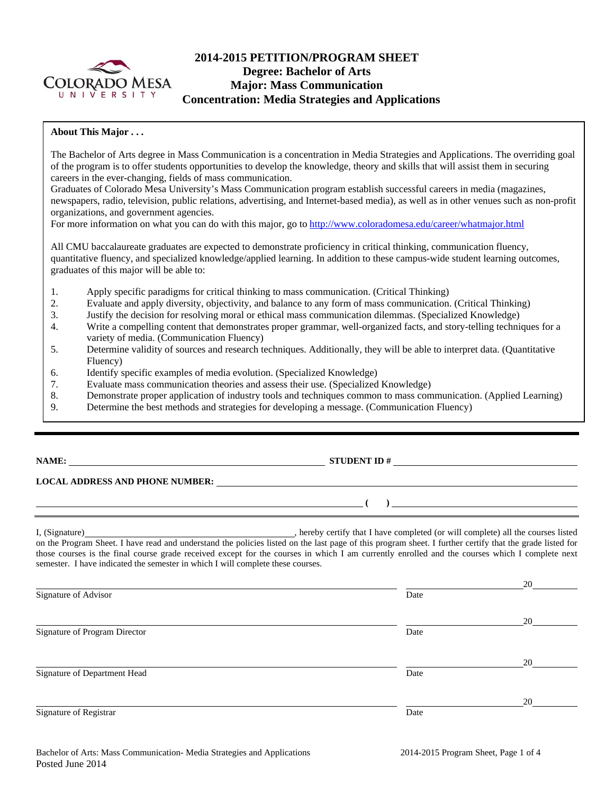

# **2014-2015 PETITION/PROGRAM SHEET Degree: Bachelor of Arts Major: Mass Communication Concentration: Media Strategies and Applications**

#### **About This Major . . .**

The Bachelor of Arts degree in Mass Communication is a concentration in Media Strategies and Applications. The overriding goal of the program is to offer students opportunities to develop the knowledge, theory and skills that will assist them in securing careers in the ever-changing, fields of mass communication.

Graduates of Colorado Mesa University's Mass Communication program establish successful careers in media (magazines, newspapers, radio, television, public relations, advertising, and Internet-based media), as well as in other venues such as non-profit organizations, and government agencies.

For more information on what you can do with this major, go to http://www.coloradomesa.edu/career/whatmajor.html

All CMU baccalaureate graduates are expected to demonstrate proficiency in critical thinking, communication fluency, quantitative fluency, and specialized knowledge/applied learning. In addition to these campus-wide student learning outcomes, graduates of this major will be able to:

- 1. Apply specific paradigms for critical thinking to mass communication. (Critical Thinking)
- 2. Evaluate and apply diversity, objectivity, and balance to any form of mass communication. (Critical Thinking)
- 3. Justify the decision for resolving moral or ethical mass communication dilemmas. (Specialized Knowledge)
- 4. Write a compelling content that demonstrates proper grammar, well-organized facts, and story-telling techniques for a variety of media. (Communication Fluency)
- 5. Determine validity of sources and research techniques. Additionally, they will be able to interpret data. (Quantitative Fluency)
- 6. Identify specific examples of media evolution. (Specialized Knowledge)
- 7. Evaluate mass communication theories and assess their use. (Specialized Knowledge)
- 8. Demonstrate proper application of industry tools and techniques common to mass communication. (Applied Learning)
- 9. Determine the best methods and strategies for developing a message. (Communication Fluency)

# **NAME: STUDENT ID #**

 **( )** 

### **LOCAL ADDRESS AND PHONE NUMBER:**

I, (Signature) hereby certify that I have completed (or will complete) all the courses listed on the Program Sheet. I have read and understand the policies listed on the last page of this program sheet. I further certify that the grade listed for those courses is the final course grade received except for the courses in which I am currently enrolled and the courses which I complete next semester. I have indicated the semester in which I will complete these courses.

|                               |      | 20 |
|-------------------------------|------|----|
| Signature of Advisor          | Date |    |
|                               |      | 20 |
| Signature of Program Director | Date |    |
|                               |      | 20 |
| Signature of Department Head  | Date |    |
|                               |      | 20 |
| Signature of Registrar        | Date |    |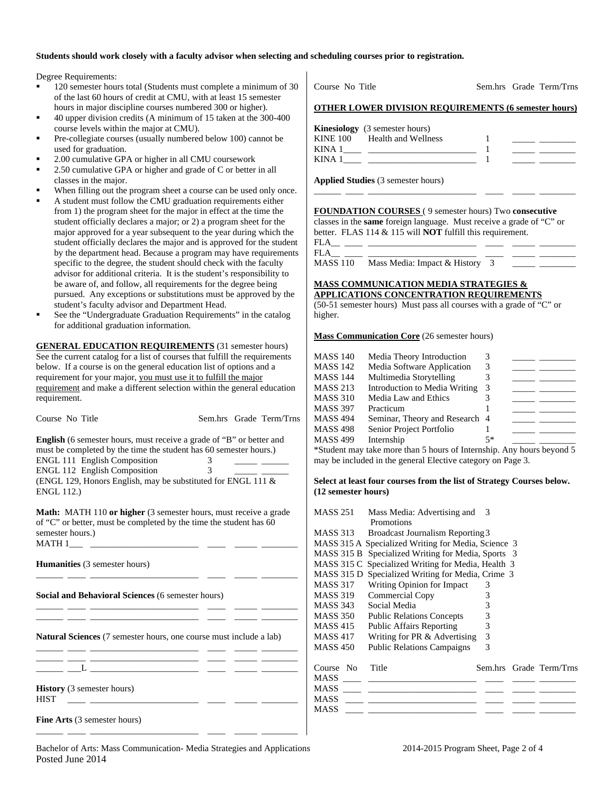#### **Students should work closely with a faculty advisor when selecting and scheduling courses prior to registration.**

Degree Requirements:

- 120 semester hours total (Students must complete a minimum of 30 of the last 60 hours of credit at CMU, with at least 15 semester hours in major discipline courses numbered 300 or higher).
- 40 upper division credits (A minimum of 15 taken at the 300-400 course levels within the major at CMU).
- Pre-collegiate courses (usually numbered below 100) cannot be used for graduation.
- 2.00 cumulative GPA or higher in all CMU coursework
- 2.50 cumulative GPA or higher and grade of C or better in all classes in the major.
- When filling out the program sheet a course can be used only once.
- A student must follow the CMU graduation requirements either from 1) the program sheet for the major in effect at the time the student officially declares a major; or 2) a program sheet for the major approved for a year subsequent to the year during which the student officially declares the major and is approved for the student by the department head. Because a program may have requirements specific to the degree, the student should check with the faculty advisor for additional criteria. It is the student's responsibility to be aware of, and follow, all requirements for the degree being pursued. Any exceptions or substitutions must be approved by the student's faculty advisor and Department Head.
- See the "Undergraduate Graduation Requirements" in the catalog for additional graduation information.

**GENERAL EDUCATION REQUIREMENTS** (31 semester hours) See the current catalog for a list of courses that fulfill the requirements below. If a course is on the general education list of options and a requirement for your major, you must use it to fulfill the major requirement and make a different selection within the general education requirement

| Course No Title                                                                                                                                                                                                                                                                                              |                     | Sem.hrs Grade Term/Trns                                                                                                                                                                                                                                                                                                                                                                                                                                                    |
|--------------------------------------------------------------------------------------------------------------------------------------------------------------------------------------------------------------------------------------------------------------------------------------------------------------|---------------------|----------------------------------------------------------------------------------------------------------------------------------------------------------------------------------------------------------------------------------------------------------------------------------------------------------------------------------------------------------------------------------------------------------------------------------------------------------------------------|
| <b>English</b> (6 semester hours, must receive a grade of "B" or better and<br>must be completed by the time the student has 60 semester hours.)<br><b>ENGL 111 English Composition</b><br>ENGL 112 English Composition<br>(ENGL 129, Honors English, may be substituted for ENGL 111 &<br><b>ENGL 112.)</b> | 3<br>$\overline{3}$ | $\frac{1}{2} \left( \frac{1}{2} \right) \left( \frac{1}{2} \right) \left( \frac{1}{2} \right) \left( \frac{1}{2} \right) \left( \frac{1}{2} \right) \left( \frac{1}{2} \right) \left( \frac{1}{2} \right) \left( \frac{1}{2} \right) \left( \frac{1}{2} \right) \left( \frac{1}{2} \right) \left( \frac{1}{2} \right) \left( \frac{1}{2} \right) \left( \frac{1}{2} \right) \left( \frac{1}{2} \right) \left( \frac{1}{2} \right) \left( \frac{1}{2} \right) \left( \frac$ |
| <b>Math:</b> MATH 110 or higher (3 semester hours, must receive a grade<br>of "C" or better, must be completed by the time the student has 60<br>semester hours.)                                                                                                                                            |                     |                                                                                                                                                                                                                                                                                                                                                                                                                                                                            |
| <b>Humanities</b> (3 semester hours)                                                                                                                                                                                                                                                                         |                     |                                                                                                                                                                                                                                                                                                                                                                                                                                                                            |
| Social and Behavioral Sciences (6 semester hours)                                                                                                                                                                                                                                                            |                     |                                                                                                                                                                                                                                                                                                                                                                                                                                                                            |
| <u> 1980 - Andrea Stadt, fransk politiker (d. 1980)</u><br>Natural Sciences (7 semester hours, one course must include a lab)                                                                                                                                                                                |                     |                                                                                                                                                                                                                                                                                                                                                                                                                                                                            |
|                                                                                                                                                                                                                                                                                                              |                     |                                                                                                                                                                                                                                                                                                                                                                                                                                                                            |
| <b>History</b> (3 semester hours)<br><b>HIST</b><br><u> 1988 - Andrea Stadt British, francuski filozof (</u>                                                                                                                                                                                                 |                     |                                                                                                                                                                                                                                                                                                                                                                                                                                                                            |
| <b>Fine Arts</b> (3 semester hours)                                                                                                                                                                                                                                                                          |                     |                                                                                                                                                                                                                                                                                                                                                                                                                                                                            |

Course No Title Sem.hrs Grade Term/Trns **OTHER LOWER DIVISION REQUIREMENTS (6 semester hours)** 

|        | <b>Kinesiology</b> (3 semester hours) |  |  |
|--------|---------------------------------------|--|--|
|        | KINE 100 Health and Wellness          |  |  |
| KINA 1 |                                       |  |  |
| KINA 1 |                                       |  |  |

\_\_\_\_\_\_ \_\_\_\_ \_\_\_\_\_\_\_\_\_\_\_\_\_\_\_\_\_\_\_\_\_\_\_\_ \_\_\_\_ \_\_\_\_\_ \_\_\_\_\_\_\_\_

**Applied Studies** (3 semester hours)

**FOUNDATION COURSES** ( 9 semester hours) Two **consecutive**

classes in the **same** foreign language. Must receive a grade of "C" or better. FLAS 114 & 115 will **NOT** fulfill this requirement.

| <b>FLA</b> |                                         |  |  |
|------------|-----------------------------------------|--|--|
| <b>FLA</b> |                                         |  |  |
|            | MASS 110 Mass Media: Impact & History 3 |  |  |

#### **MASS COMMUNICATION MEDIA STRATEGIES & APPLICATIONS CONCENTRATION REQUIREMENTS**

(50-51 semester hours) Must pass all courses with a grade of "C" or higher.

#### **Mass Communication Core** (26 semester hours)

| <b>MASS 140</b> | Media Theory Introduction                                     |      |  |
|-----------------|---------------------------------------------------------------|------|--|
| MASS 142        | Media Software Application                                    |      |  |
| <b>MASS 144</b> | Multimedia Storytelling                                       |      |  |
| <b>MASS 213</b> | Introduction to Media Writing                                 |      |  |
| <b>MASS 310</b> | Media Law and Ethics                                          |      |  |
| <b>MASS 397</b> | Practicum                                                     |      |  |
| <b>MASS 494</b> | Seminar, Theory and Research 4                                |      |  |
| <b>MASS 498</b> | Senior Project Portfolio                                      |      |  |
| MASS 499        | Internship                                                    | $5*$ |  |
|                 | $\star$ C is it at $\sigma$ is $\star$ if $\star$ if $\sigma$ |      |  |

\*Student may take more than 5 hours of Internship. Any hours beyond 5 may be included in the general Elective category on Page 3.

#### **Select at least four courses from the list of Strategy Courses below. (12 semester hours)**

| MASS 251           | Mass Media: Advertising and                         | 3                       |  |
|--------------------|-----------------------------------------------------|-------------------------|--|
|                    | <b>Promotions</b>                                   |                         |  |
| MASS 313           | Broadcast Journalism Reporting 3                    |                         |  |
|                    | MASS 315 A Specialized Writing for Media, Science 3 |                         |  |
| MASS 315 B         | Specialized Writing for Media, Sports 3             |                         |  |
|                    | MASS 315 C Specialized Writing for Media, Health 3  |                         |  |
| MASS 315 D         | Specialized Writing for Media, Crime 3              |                         |  |
| MASS 317           | Writing Opinion for Impact                          | 3                       |  |
| MASS 319           | Commercial Copy                                     | 3                       |  |
| MASS 343           | Social Media                                        | 3                       |  |
| <b>MASS 350</b>    | <b>Public Relations Concepts</b>                    | 3                       |  |
| <b>MASS 415</b>    | <b>Public Affairs Reporting</b>                     | 3                       |  |
| MASS 417           | Writing for PR & Advertising                        | 3                       |  |
| <b>MASS 450</b>    | <b>Public Relations Campaigns</b>                   | 3                       |  |
|                    |                                                     |                         |  |
| Title<br>Course No |                                                     | Sem.hrs Grade Term/Trns |  |
| <b>MASS</b>        |                                                     |                         |  |
| <b>MASS</b>        |                                                     |                         |  |
| MASS               |                                                     |                         |  |
| MASS               |                                                     |                         |  |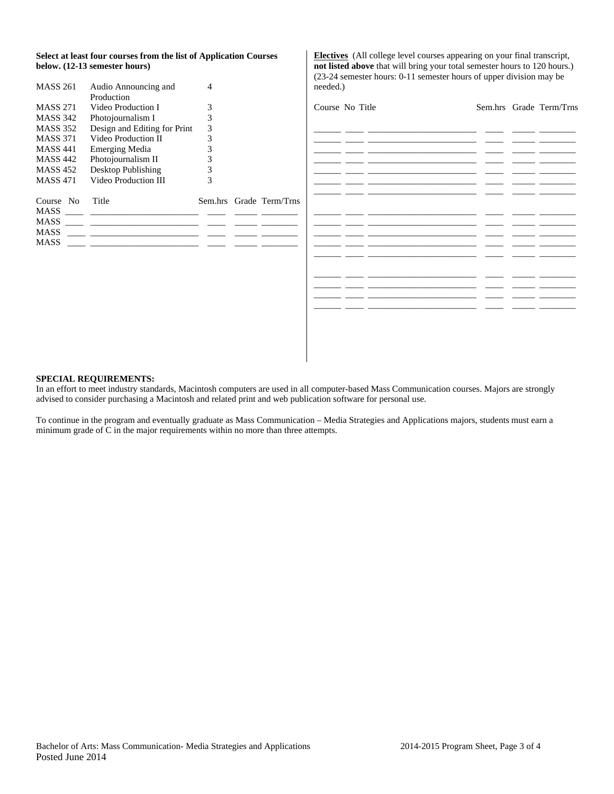#### **Select at least four courses from the list of Application Courses below. (12-13 semester hours)**

| <b>MASS 261</b> | Audio Announcing and         |   |                         |
|-----------------|------------------------------|---|-------------------------|
|                 | Production                   |   |                         |
| <b>MASS 271</b> | Video Production I           | 3 |                         |
| <b>MASS 342</b> | Photojournalism I            | 3 |                         |
| <b>MASS 352</b> | Design and Editing for Print | 3 |                         |
| <b>MASS 371</b> | Video Production II          | 3 |                         |
| <b>MASS 441</b> | Emerging Media               | 3 |                         |
| <b>MASS 442</b> | Photojournalism II           | 3 |                         |
| MASS 452        | Desktop Publishing           | 3 |                         |
| <b>MASS 471</b> | Video Production III         | 3 |                         |
| Course No       | Title                        |   | Sem.hrs Grade Term/Trns |
| <b>MASS</b>     |                              |   |                         |
| <b>MASS</b>     |                              |   |                         |
| MASS            |                              |   |                         |
| MASS            |                              |   |                         |
|                 |                              |   |                         |

**Electives** (All college level courses appearing on your final transcript, **not listed above** that will bring your total semester hours to 120 hours.) (23-24 semester hours: 0-11 semester hours of upper division may be needed.)

| Course No Title |  | Sem.hrs Grade Term/Trns |
|-----------------|--|-------------------------|
|                 |  |                         |
|                 |  |                         |
|                 |  |                         |
|                 |  |                         |
|                 |  |                         |
|                 |  |                         |
|                 |  |                         |
|                 |  |                         |
|                 |  |                         |
|                 |  |                         |
|                 |  |                         |
|                 |  |                         |
|                 |  |                         |
|                 |  |                         |
|                 |  |                         |
|                 |  |                         |

#### **SPECIAL REQUIREMENTS:**

In an effort to meet industry standards, Macintosh computers are used in all computer-based Mass Communication courses. Majors are strongly advised to consider purchasing a Macintosh and related print and web publication software for personal use.

To continue in the program and eventually graduate as Mass Communication – Media Strategies and Applications majors, students must earn a minimum grade of C in the major requirements within no more than three attempts.